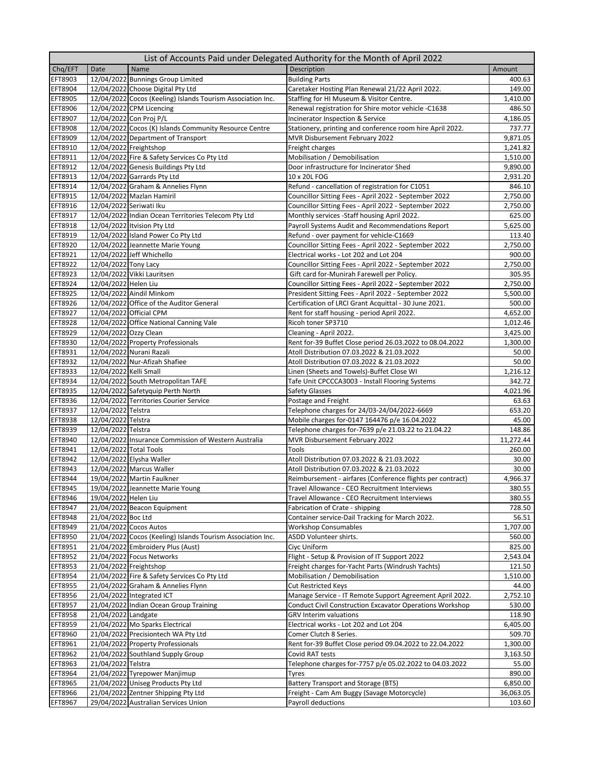| Chq/EFT<br>Description<br>Date<br>Name<br>Amount<br><b>EFT8903</b><br>12/04/2022 Bunnings Group Limited<br><b>Building Parts</b><br>400.63<br>EFT8904<br>12/04/2022 Choose Digital Pty Ltd<br>149.00<br>Caretaker Hosting Plan Renewal 21/22 April 2022.<br><b>EFT8905</b><br>12/04/2022 Cocos (Keeling) Islands Tourism Association Inc.<br>Staffing for HI Museum & Visitor Centre.<br>1,410.00<br>Renewal registration for Shire motor vehicle -C1638<br><b>EFT8906</b><br>12/04/2022 CPM Licencing<br>486.50<br>12/04/2022 Con Proj P/L<br><b>EFT8907</b><br>Incinerator Inspection & Service<br>4,186.05<br>12/04/2022 Cocos (K) Islands Community Resource Centre<br><b>EFT8908</b><br>Stationery, printing and conference room hire April 2022.<br>737.77<br><b>EFT8909</b><br>12/04/2022 Department of Transport<br>9,871.05<br>MVR Disbursement February 2022<br>12/04/2022 Freightshop<br><b>EFT8910</b><br>1,241.82<br>Freight charges<br>12/04/2022 Fire & Safety Services Co Pty Ltd<br>Mobilisation / Demobilisation<br>EFT8911<br>1,510.00<br>12/04/2022 Genesis Buildings Pty Ltd<br><b>EFT8912</b><br>Door infrastructure for Incinerator Shed<br>9,890.00<br>12/04/2022 Garrards Pty Ltd<br><b>EFT8913</b><br>2,931.20<br>10 x 20L FOG<br>12/04/2022 Graham & Annelies Flynn<br><b>EFT8914</b><br>846.10<br>Refund - cancellation of registration for C1051<br>EFT8915<br>12/04/2022 Mazlan Hamiril<br>Councillor Sitting Fees - April 2022 - September 2022<br>2,750.00<br>12/04/2022 Seriwati Iku<br>EFT8916<br>Councillor Sitting Fees - April 2022 - September 2022<br>2,750.00<br>12/04/2022 Indian Ocean Territories Telecom Pty Ltd<br>Monthly services - Staff housing April 2022.<br><b>EFT8917</b><br>625.00<br>12/04/2022 Itvision Pty Ltd<br><b>EFT8918</b><br>Payroll Systems Audit and Recommendations Report<br>5,625.00<br><b>EFT8919</b><br>12/04/2022 Island Power Co Pty Ltd<br>Refund - over payment for vehicle-C1669<br>113.40<br><b>EFT8920</b><br>12/04/2022 Jeannette Marie Young<br>Councillor Sitting Fees - April 2022 - September 2022<br>2,750.00<br>EFT8921<br>12/04/2022 Jeff Whichello<br>Electrical works - Lot 202 and Lot 204<br>900.00<br><b>EFT8922</b><br>12/04/2022 Tony Lacy<br>Councillor Sitting Fees - April 2022 - September 2022<br>2,750.00<br>12/04/2022 Vikki Lauritsen<br>305.95<br><b>EFT8923</b><br>Gift card for-Munirah Farewell per Policy.<br><b>EFT8924</b><br>12/04/2022 Helen Liu<br>Councillor Sitting Fees - April 2022 - September 2022<br>2,750.00<br>12/04/2022 Aindil Minkom<br>President Sitting Fees - April 2022 - September 2022<br><b>EFT8925</b><br>5,500.00<br><b>EFT8926</b><br>12/04/2022 Office of the Auditor General<br>Certification of LRCI Grant Acquittal - 30 June 2021.<br>500.00<br>12/04/2022 Official CPM<br><b>EFT8927</b><br>Rent for staff housing - period April 2022.<br>4,652.00<br>12/04/2022 Office National Canning Vale<br><b>EFT8928</b><br>Ricoh toner SP3710<br>1,012.46<br>12/04/2022 Ozzy Clean<br><b>EFT8929</b><br>3,425.00<br>Cleaning - April 2022.<br>12/04/2022 Property Professionals<br><b>EFT8930</b><br>Rent for-39 Buffet Close period 26.03.2022 to 08.04.2022<br>1,300.00<br>12/04/2022 Nurani Razali<br>EFT8931<br>Atoll Distribution 07.03.2022 & 21.03.2022<br>50.00<br>12/04/2022 Nur-Afizah Shafiee<br>EFT8932<br>50.00<br>Atoll Distribution 07.03.2022 & 21.03.2022<br>12/04/2022 Kelli Small<br><b>EFT8933</b><br>Linen (Sheets and Towels)-Buffet Close WI<br>1,216.12<br><b>EFT8934</b><br>12/04/2022 South Metropolitan TAFE<br>Tafe Unit CPCCCA3003 - Install Flooring Systems<br>342.72<br>12/04/2022 Safetyquip Perth North<br><b>EFT8935</b><br><b>Safety Glasses</b><br>4,021.96<br>12/04/2022 Territories Courier Service<br><b>EFT8936</b><br>Postage and Freight<br>63.63<br>12/04/2022 Telstra<br>Telephone charges for 24/03-24/04/2022-6669<br><b>EFT8937</b><br>653.20<br>12/04/2022 Telstra<br>Mobile charges for-0147 164476 p/e 16.04.2022<br><b>EFT8938</b><br>45.00<br><b>EFT8939</b><br>12/04/2022 Telstra<br>148.86<br>Telephone charges for-7639 p/e 21.03.22 to 21.04.22<br>12/04/2022 Insurance Commission of Western Australia<br><b>EFT8940</b><br>MVR Disbursement February 2022<br>11,272.44<br>12/04/2022 Total Tools<br>EFT8941<br>260.00<br>Tools<br>12/04/2022 Elysha Waller<br><b>EFT8942</b><br>Atoll Distribution 07.03.2022 & 21.03.2022<br>30.00<br>12/04/2022 Marcus Waller<br><b>EFT8943</b><br>Atoll Distribution 07.03.2022 & 21.03.2022<br>30.00<br>19/04/2022 Martin Faulkner<br><b>EFT8944</b><br>Reimbursement - airfares (Conference flights per contract)<br>4,966.37<br><b>EFT8945</b><br>19/04/2022 Jeannette Marie Young<br>Travel Allowance - CEO Recruitment Interviews<br>380.55<br>19/04/2022 Helen Liu<br>Travel Allowance - CEO Recruitment Interviews<br><b>EFT8946</b><br>380.55<br>21/04/2022 Beacon Equipment<br><b>EFT8947</b><br>Fabrication of Crate - shipping<br>728.50<br>21/04/2022 Boc Ltd<br><b>EFT8948</b><br>Container service-Dail Tracking for March 2022.<br>56.51<br><b>EFT8949</b><br>21/04/2022 Cocos Autos<br><b>Workshop Consumables</b><br>1,707.00<br>ASDD Volunteer shirts.<br><b>EFT8950</b><br>21/04/2022 Cocos (Keeling) Islands Tourism Association Inc.<br>560.00<br>21/04/2022 Embroidery Plus (Aust)<br><b>EFT8951</b><br>Ciyc Uniform<br>825.00<br>21/04/2022 Focus Networks<br><b>EFT8952</b><br>Flight - Setup & Provision of IT Support 2022<br>2,543.04<br>21/04/2022 Freightshop<br><b>EFT8953</b><br>Freight charges for-Yacht Parts (Windrush Yachts)<br>121.50<br>21/04/2022 Fire & Safety Services Co Pty Ltd<br>Mobilisation / Demobilisation<br><b>EFT8954</b><br>1,510.00<br>21/04/2022 Graham & Annelies Flynn<br><b>EFT8955</b><br><b>Cut Restricted Keys</b><br>44.00<br><b>EFT8956</b><br>21/04/2022 Integrated ICT<br>Manage Service - IT Remote Support Agreement April 2022.<br>2,752.10<br>21/04/2022 Indian Ocean Group Training<br><b>EFT8957</b><br><b>Conduct Civil Construction Excavator Operations Workshop</b><br>530.00<br>21/04/2022 Landgate<br><b>EFT8958</b><br><b>GRV Interim valuations</b><br>118.90<br>21/04/2022 Mo Sparks Electrical<br><b>EFT8959</b><br>Electrical works - Lot 202 and Lot 204<br>6,405.00<br>21/04/2022 Precisiontech WA Pty Ltd<br><b>EFT8960</b><br>Comer Clutch 8 Series.<br>509.70<br>21/04/2022 Property Professionals<br>EFT8961<br>Rent for-39 Buffet Close period 09.04.2022 to 22.04.2022<br>1,300.00<br>21/04/2022 Southland Supply Group<br>EFT8962<br>Covid RAT tests<br>3,163.50<br><b>EFT8963</b><br>21/04/2022 Telstra<br>Telephone charges for-7757 p/e 05.02.2022 to 04.03.2022<br>55.00<br>EFT8964<br>890.00<br>21/04/2022 Tyrepower Manjimup<br><b>Tyres</b><br><b>EFT8965</b><br>21/04/2022 Uniseg Products Pty Ltd<br><b>Battery Transport and Storage (BTS)</b><br>6,850.00<br>21/04/2022 Zentner Shipping Pty Ltd<br>Freight - Cam Am Buggy (Savage Motorcycle)<br><b>EFT8966</b><br>36,063.05<br>EFT8967<br>29/04/2022 Australian Services Union<br>103.60<br>Payroll deductions | List of Accounts Paid under Delegated Authority for the Month of April 2022 |  |  |  |  |  |
|-----------------------------------------------------------------------------------------------------------------------------------------------------------------------------------------------------------------------------------------------------------------------------------------------------------------------------------------------------------------------------------------------------------------------------------------------------------------------------------------------------------------------------------------------------------------------------------------------------------------------------------------------------------------------------------------------------------------------------------------------------------------------------------------------------------------------------------------------------------------------------------------------------------------------------------------------------------------------------------------------------------------------------------------------------------------------------------------------------------------------------------------------------------------------------------------------------------------------------------------------------------------------------------------------------------------------------------------------------------------------------------------------------------------------------------------------------------------------------------------------------------------------------------------------------------------------------------------------------------------------------------------------------------------------------------------------------------------------------------------------------------------------------------------------------------------------------------------------------------------------------------------------------------------------------------------------------------------------------------------------------------------------------------------------------------------------------------------------------------------------------------------------------------------------------------------------------------------------------------------------------------------------------------------------------------------------------------------------------------------------------------------------------------------------------------------------------------------------------------------------------------------------------------------------------------------------------------------------------------------------------------------------------------------------------------------------------------------------------------------------------------------------------------------------------------------------------------------------------------------------------------------------------------------------------------------------------------------------------------------------------------------------------------------------------------------------------------------------------------------------------------------------------------------------------------------------------------------------------------------------------------------------------------------------------------------------------------------------------------------------------------------------------------------------------------------------------------------------------------------------------------------------------------------------------------------------------------------------------------------------------------------------------------------------------------------------------------------------------------------------------------------------------------------------------------------------------------------------------------------------------------------------------------------------------------------------------------------------------------------------------------------------------------------------------------------------------------------------------------------------------------------------------------------------------------------------------------------------------------------------------------------------------------------------------------------------------------------------------------------------------------------------------------------------------------------------------------------------------------------------------------------------------------------------------------------------------------------------------------------------------------------------------------------------------------------------------------------------------------------------------------------------------------------------------------------------------------------------------------------------------------------------------------------------------------------------------------------------------------------------------------------------------------------------------------------------------------------------------------------------------------------------------------------------------------------------------------------------------------------------------------------------------------------------------------------------------------------------------------------------------------------------------------------------------------------------------------------------------------------------------------------------------------------------------------------------------------------------------------------------------------------------------------------------------------------------------------------------------------------------------------------------------------------------------------------------------------------------------------------------------------------------------------------------------------------------------------------------------------------------------------------------------------------------------------------------------------------------------------------------------------------------------------------------------------------------------------------------------------------------------------------------------------------------------------------------------------------------------------------------------------------------------------------------------------------------------------------------------------------------------------------------------------------------------------------------------------------------------------------------------------------------------------------------------------------------------------------------------------------------------------------------------------------------------------------------------------------------------------------------------------------------------------------------------------------------------------------------------------------------------------------------------------------------------------------------------------------------------------|-----------------------------------------------------------------------------|--|--|--|--|--|
|                                                                                                                                                                                                                                                                                                                                                                                                                                                                                                                                                                                                                                                                                                                                                                                                                                                                                                                                                                                                                                                                                                                                                                                                                                                                                                                                                                                                                                                                                                                                                                                                                                                                                                                                                                                                                                                                                                                                                                                                                                                                                                                                                                                                                                                                                                                                                                                                                                                                                                                                                                                                                                                                                                                                                                                                                                                                                                                                                                                                                                                                                                                                                                                                                                                                                                                                                                                                                                                                                                                                                                                                                                                                                                                                                                                                                                                                                                                                                                                                                                                                                                                                                                                                                                                                                                                                                                                                                                                                                                                                                                                                                                                                                                                                                                                                                                                                                                                                                                                                                                                                                                                                                                                                                                                                                                                                                                                                                                                                                                                                                                                                                                                                                                                                                                                                                                                                                                                                                                                                                                                                                                                                                                                                                                                                                                                                                                                                                                                                                                                                                                                                                                                                                                                                                                                                                                                                                                                                                                                                                                                                                                           |                                                                             |  |  |  |  |  |
|                                                                                                                                                                                                                                                                                                                                                                                                                                                                                                                                                                                                                                                                                                                                                                                                                                                                                                                                                                                                                                                                                                                                                                                                                                                                                                                                                                                                                                                                                                                                                                                                                                                                                                                                                                                                                                                                                                                                                                                                                                                                                                                                                                                                                                                                                                                                                                                                                                                                                                                                                                                                                                                                                                                                                                                                                                                                                                                                                                                                                                                                                                                                                                                                                                                                                                                                                                                                                                                                                                                                                                                                                                                                                                                                                                                                                                                                                                                                                                                                                                                                                                                                                                                                                                                                                                                                                                                                                                                                                                                                                                                                                                                                                                                                                                                                                                                                                                                                                                                                                                                                                                                                                                                                                                                                                                                                                                                                                                                                                                                                                                                                                                                                                                                                                                                                                                                                                                                                                                                                                                                                                                                                                                                                                                                                                                                                                                                                                                                                                                                                                                                                                                                                                                                                                                                                                                                                                                                                                                                                                                                                                                           |                                                                             |  |  |  |  |  |
|                                                                                                                                                                                                                                                                                                                                                                                                                                                                                                                                                                                                                                                                                                                                                                                                                                                                                                                                                                                                                                                                                                                                                                                                                                                                                                                                                                                                                                                                                                                                                                                                                                                                                                                                                                                                                                                                                                                                                                                                                                                                                                                                                                                                                                                                                                                                                                                                                                                                                                                                                                                                                                                                                                                                                                                                                                                                                                                                                                                                                                                                                                                                                                                                                                                                                                                                                                                                                                                                                                                                                                                                                                                                                                                                                                                                                                                                                                                                                                                                                                                                                                                                                                                                                                                                                                                                                                                                                                                                                                                                                                                                                                                                                                                                                                                                                                                                                                                                                                                                                                                                                                                                                                                                                                                                                                                                                                                                                                                                                                                                                                                                                                                                                                                                                                                                                                                                                                                                                                                                                                                                                                                                                                                                                                                                                                                                                                                                                                                                                                                                                                                                                                                                                                                                                                                                                                                                                                                                                                                                                                                                                                           |                                                                             |  |  |  |  |  |
|                                                                                                                                                                                                                                                                                                                                                                                                                                                                                                                                                                                                                                                                                                                                                                                                                                                                                                                                                                                                                                                                                                                                                                                                                                                                                                                                                                                                                                                                                                                                                                                                                                                                                                                                                                                                                                                                                                                                                                                                                                                                                                                                                                                                                                                                                                                                                                                                                                                                                                                                                                                                                                                                                                                                                                                                                                                                                                                                                                                                                                                                                                                                                                                                                                                                                                                                                                                                                                                                                                                                                                                                                                                                                                                                                                                                                                                                                                                                                                                                                                                                                                                                                                                                                                                                                                                                                                                                                                                                                                                                                                                                                                                                                                                                                                                                                                                                                                                                                                                                                                                                                                                                                                                                                                                                                                                                                                                                                                                                                                                                                                                                                                                                                                                                                                                                                                                                                                                                                                                                                                                                                                                                                                                                                                                                                                                                                                                                                                                                                                                                                                                                                                                                                                                                                                                                                                                                                                                                                                                                                                                                                                           |                                                                             |  |  |  |  |  |
|                                                                                                                                                                                                                                                                                                                                                                                                                                                                                                                                                                                                                                                                                                                                                                                                                                                                                                                                                                                                                                                                                                                                                                                                                                                                                                                                                                                                                                                                                                                                                                                                                                                                                                                                                                                                                                                                                                                                                                                                                                                                                                                                                                                                                                                                                                                                                                                                                                                                                                                                                                                                                                                                                                                                                                                                                                                                                                                                                                                                                                                                                                                                                                                                                                                                                                                                                                                                                                                                                                                                                                                                                                                                                                                                                                                                                                                                                                                                                                                                                                                                                                                                                                                                                                                                                                                                                                                                                                                                                                                                                                                                                                                                                                                                                                                                                                                                                                                                                                                                                                                                                                                                                                                                                                                                                                                                                                                                                                                                                                                                                                                                                                                                                                                                                                                                                                                                                                                                                                                                                                                                                                                                                                                                                                                                                                                                                                                                                                                                                                                                                                                                                                                                                                                                                                                                                                                                                                                                                                                                                                                                                                           |                                                                             |  |  |  |  |  |
|                                                                                                                                                                                                                                                                                                                                                                                                                                                                                                                                                                                                                                                                                                                                                                                                                                                                                                                                                                                                                                                                                                                                                                                                                                                                                                                                                                                                                                                                                                                                                                                                                                                                                                                                                                                                                                                                                                                                                                                                                                                                                                                                                                                                                                                                                                                                                                                                                                                                                                                                                                                                                                                                                                                                                                                                                                                                                                                                                                                                                                                                                                                                                                                                                                                                                                                                                                                                                                                                                                                                                                                                                                                                                                                                                                                                                                                                                                                                                                                                                                                                                                                                                                                                                                                                                                                                                                                                                                                                                                                                                                                                                                                                                                                                                                                                                                                                                                                                                                                                                                                                                                                                                                                                                                                                                                                                                                                                                                                                                                                                                                                                                                                                                                                                                                                                                                                                                                                                                                                                                                                                                                                                                                                                                                                                                                                                                                                                                                                                                                                                                                                                                                                                                                                                                                                                                                                                                                                                                                                                                                                                                                           |                                                                             |  |  |  |  |  |
|                                                                                                                                                                                                                                                                                                                                                                                                                                                                                                                                                                                                                                                                                                                                                                                                                                                                                                                                                                                                                                                                                                                                                                                                                                                                                                                                                                                                                                                                                                                                                                                                                                                                                                                                                                                                                                                                                                                                                                                                                                                                                                                                                                                                                                                                                                                                                                                                                                                                                                                                                                                                                                                                                                                                                                                                                                                                                                                                                                                                                                                                                                                                                                                                                                                                                                                                                                                                                                                                                                                                                                                                                                                                                                                                                                                                                                                                                                                                                                                                                                                                                                                                                                                                                                                                                                                                                                                                                                                                                                                                                                                                                                                                                                                                                                                                                                                                                                                                                                                                                                                                                                                                                                                                                                                                                                                                                                                                                                                                                                                                                                                                                                                                                                                                                                                                                                                                                                                                                                                                                                                                                                                                                                                                                                                                                                                                                                                                                                                                                                                                                                                                                                                                                                                                                                                                                                                                                                                                                                                                                                                                                                           |                                                                             |  |  |  |  |  |
|                                                                                                                                                                                                                                                                                                                                                                                                                                                                                                                                                                                                                                                                                                                                                                                                                                                                                                                                                                                                                                                                                                                                                                                                                                                                                                                                                                                                                                                                                                                                                                                                                                                                                                                                                                                                                                                                                                                                                                                                                                                                                                                                                                                                                                                                                                                                                                                                                                                                                                                                                                                                                                                                                                                                                                                                                                                                                                                                                                                                                                                                                                                                                                                                                                                                                                                                                                                                                                                                                                                                                                                                                                                                                                                                                                                                                                                                                                                                                                                                                                                                                                                                                                                                                                                                                                                                                                                                                                                                                                                                                                                                                                                                                                                                                                                                                                                                                                                                                                                                                                                                                                                                                                                                                                                                                                                                                                                                                                                                                                                                                                                                                                                                                                                                                                                                                                                                                                                                                                                                                                                                                                                                                                                                                                                                                                                                                                                                                                                                                                                                                                                                                                                                                                                                                                                                                                                                                                                                                                                                                                                                                                           |                                                                             |  |  |  |  |  |
|                                                                                                                                                                                                                                                                                                                                                                                                                                                                                                                                                                                                                                                                                                                                                                                                                                                                                                                                                                                                                                                                                                                                                                                                                                                                                                                                                                                                                                                                                                                                                                                                                                                                                                                                                                                                                                                                                                                                                                                                                                                                                                                                                                                                                                                                                                                                                                                                                                                                                                                                                                                                                                                                                                                                                                                                                                                                                                                                                                                                                                                                                                                                                                                                                                                                                                                                                                                                                                                                                                                                                                                                                                                                                                                                                                                                                                                                                                                                                                                                                                                                                                                                                                                                                                                                                                                                                                                                                                                                                                                                                                                                                                                                                                                                                                                                                                                                                                                                                                                                                                                                                                                                                                                                                                                                                                                                                                                                                                                                                                                                                                                                                                                                                                                                                                                                                                                                                                                                                                                                                                                                                                                                                                                                                                                                                                                                                                                                                                                                                                                                                                                                                                                                                                                                                                                                                                                                                                                                                                                                                                                                                                           |                                                                             |  |  |  |  |  |
|                                                                                                                                                                                                                                                                                                                                                                                                                                                                                                                                                                                                                                                                                                                                                                                                                                                                                                                                                                                                                                                                                                                                                                                                                                                                                                                                                                                                                                                                                                                                                                                                                                                                                                                                                                                                                                                                                                                                                                                                                                                                                                                                                                                                                                                                                                                                                                                                                                                                                                                                                                                                                                                                                                                                                                                                                                                                                                                                                                                                                                                                                                                                                                                                                                                                                                                                                                                                                                                                                                                                                                                                                                                                                                                                                                                                                                                                                                                                                                                                                                                                                                                                                                                                                                                                                                                                                                                                                                                                                                                                                                                                                                                                                                                                                                                                                                                                                                                                                                                                                                                                                                                                                                                                                                                                                                                                                                                                                                                                                                                                                                                                                                                                                                                                                                                                                                                                                                                                                                                                                                                                                                                                                                                                                                                                                                                                                                                                                                                                                                                                                                                                                                                                                                                                                                                                                                                                                                                                                                                                                                                                                                           |                                                                             |  |  |  |  |  |
|                                                                                                                                                                                                                                                                                                                                                                                                                                                                                                                                                                                                                                                                                                                                                                                                                                                                                                                                                                                                                                                                                                                                                                                                                                                                                                                                                                                                                                                                                                                                                                                                                                                                                                                                                                                                                                                                                                                                                                                                                                                                                                                                                                                                                                                                                                                                                                                                                                                                                                                                                                                                                                                                                                                                                                                                                                                                                                                                                                                                                                                                                                                                                                                                                                                                                                                                                                                                                                                                                                                                                                                                                                                                                                                                                                                                                                                                                                                                                                                                                                                                                                                                                                                                                                                                                                                                                                                                                                                                                                                                                                                                                                                                                                                                                                                                                                                                                                                                                                                                                                                                                                                                                                                                                                                                                                                                                                                                                                                                                                                                                                                                                                                                                                                                                                                                                                                                                                                                                                                                                                                                                                                                                                                                                                                                                                                                                                                                                                                                                                                                                                                                                                                                                                                                                                                                                                                                                                                                                                                                                                                                                                           |                                                                             |  |  |  |  |  |
|                                                                                                                                                                                                                                                                                                                                                                                                                                                                                                                                                                                                                                                                                                                                                                                                                                                                                                                                                                                                                                                                                                                                                                                                                                                                                                                                                                                                                                                                                                                                                                                                                                                                                                                                                                                                                                                                                                                                                                                                                                                                                                                                                                                                                                                                                                                                                                                                                                                                                                                                                                                                                                                                                                                                                                                                                                                                                                                                                                                                                                                                                                                                                                                                                                                                                                                                                                                                                                                                                                                                                                                                                                                                                                                                                                                                                                                                                                                                                                                                                                                                                                                                                                                                                                                                                                                                                                                                                                                                                                                                                                                                                                                                                                                                                                                                                                                                                                                                                                                                                                                                                                                                                                                                                                                                                                                                                                                                                                                                                                                                                                                                                                                                                                                                                                                                                                                                                                                                                                                                                                                                                                                                                                                                                                                                                                                                                                                                                                                                                                                                                                                                                                                                                                                                                                                                                                                                                                                                                                                                                                                                                                           |                                                                             |  |  |  |  |  |
|                                                                                                                                                                                                                                                                                                                                                                                                                                                                                                                                                                                                                                                                                                                                                                                                                                                                                                                                                                                                                                                                                                                                                                                                                                                                                                                                                                                                                                                                                                                                                                                                                                                                                                                                                                                                                                                                                                                                                                                                                                                                                                                                                                                                                                                                                                                                                                                                                                                                                                                                                                                                                                                                                                                                                                                                                                                                                                                                                                                                                                                                                                                                                                                                                                                                                                                                                                                                                                                                                                                                                                                                                                                                                                                                                                                                                                                                                                                                                                                                                                                                                                                                                                                                                                                                                                                                                                                                                                                                                                                                                                                                                                                                                                                                                                                                                                                                                                                                                                                                                                                                                                                                                                                                                                                                                                                                                                                                                                                                                                                                                                                                                                                                                                                                                                                                                                                                                                                                                                                                                                                                                                                                                                                                                                                                                                                                                                                                                                                                                                                                                                                                                                                                                                                                                                                                                                                                                                                                                                                                                                                                                                           |                                                                             |  |  |  |  |  |
|                                                                                                                                                                                                                                                                                                                                                                                                                                                                                                                                                                                                                                                                                                                                                                                                                                                                                                                                                                                                                                                                                                                                                                                                                                                                                                                                                                                                                                                                                                                                                                                                                                                                                                                                                                                                                                                                                                                                                                                                                                                                                                                                                                                                                                                                                                                                                                                                                                                                                                                                                                                                                                                                                                                                                                                                                                                                                                                                                                                                                                                                                                                                                                                                                                                                                                                                                                                                                                                                                                                                                                                                                                                                                                                                                                                                                                                                                                                                                                                                                                                                                                                                                                                                                                                                                                                                                                                                                                                                                                                                                                                                                                                                                                                                                                                                                                                                                                                                                                                                                                                                                                                                                                                                                                                                                                                                                                                                                                                                                                                                                                                                                                                                                                                                                                                                                                                                                                                                                                                                                                                                                                                                                                                                                                                                                                                                                                                                                                                                                                                                                                                                                                                                                                                                                                                                                                                                                                                                                                                                                                                                                                           |                                                                             |  |  |  |  |  |
|                                                                                                                                                                                                                                                                                                                                                                                                                                                                                                                                                                                                                                                                                                                                                                                                                                                                                                                                                                                                                                                                                                                                                                                                                                                                                                                                                                                                                                                                                                                                                                                                                                                                                                                                                                                                                                                                                                                                                                                                                                                                                                                                                                                                                                                                                                                                                                                                                                                                                                                                                                                                                                                                                                                                                                                                                                                                                                                                                                                                                                                                                                                                                                                                                                                                                                                                                                                                                                                                                                                                                                                                                                                                                                                                                                                                                                                                                                                                                                                                                                                                                                                                                                                                                                                                                                                                                                                                                                                                                                                                                                                                                                                                                                                                                                                                                                                                                                                                                                                                                                                                                                                                                                                                                                                                                                                                                                                                                                                                                                                                                                                                                                                                                                                                                                                                                                                                                                                                                                                                                                                                                                                                                                                                                                                                                                                                                                                                                                                                                                                                                                                                                                                                                                                                                                                                                                                                                                                                                                                                                                                                                                           |                                                                             |  |  |  |  |  |
|                                                                                                                                                                                                                                                                                                                                                                                                                                                                                                                                                                                                                                                                                                                                                                                                                                                                                                                                                                                                                                                                                                                                                                                                                                                                                                                                                                                                                                                                                                                                                                                                                                                                                                                                                                                                                                                                                                                                                                                                                                                                                                                                                                                                                                                                                                                                                                                                                                                                                                                                                                                                                                                                                                                                                                                                                                                                                                                                                                                                                                                                                                                                                                                                                                                                                                                                                                                                                                                                                                                                                                                                                                                                                                                                                                                                                                                                                                                                                                                                                                                                                                                                                                                                                                                                                                                                                                                                                                                                                                                                                                                                                                                                                                                                                                                                                                                                                                                                                                                                                                                                                                                                                                                                                                                                                                                                                                                                                                                                                                                                                                                                                                                                                                                                                                                                                                                                                                                                                                                                                                                                                                                                                                                                                                                                                                                                                                                                                                                                                                                                                                                                                                                                                                                                                                                                                                                                                                                                                                                                                                                                                                           |                                                                             |  |  |  |  |  |
|                                                                                                                                                                                                                                                                                                                                                                                                                                                                                                                                                                                                                                                                                                                                                                                                                                                                                                                                                                                                                                                                                                                                                                                                                                                                                                                                                                                                                                                                                                                                                                                                                                                                                                                                                                                                                                                                                                                                                                                                                                                                                                                                                                                                                                                                                                                                                                                                                                                                                                                                                                                                                                                                                                                                                                                                                                                                                                                                                                                                                                                                                                                                                                                                                                                                                                                                                                                                                                                                                                                                                                                                                                                                                                                                                                                                                                                                                                                                                                                                                                                                                                                                                                                                                                                                                                                                                                                                                                                                                                                                                                                                                                                                                                                                                                                                                                                                                                                                                                                                                                                                                                                                                                                                                                                                                                                                                                                                                                                                                                                                                                                                                                                                                                                                                                                                                                                                                                                                                                                                                                                                                                                                                                                                                                                                                                                                                                                                                                                                                                                                                                                                                                                                                                                                                                                                                                                                                                                                                                                                                                                                                                           |                                                                             |  |  |  |  |  |
|                                                                                                                                                                                                                                                                                                                                                                                                                                                                                                                                                                                                                                                                                                                                                                                                                                                                                                                                                                                                                                                                                                                                                                                                                                                                                                                                                                                                                                                                                                                                                                                                                                                                                                                                                                                                                                                                                                                                                                                                                                                                                                                                                                                                                                                                                                                                                                                                                                                                                                                                                                                                                                                                                                                                                                                                                                                                                                                                                                                                                                                                                                                                                                                                                                                                                                                                                                                                                                                                                                                                                                                                                                                                                                                                                                                                                                                                                                                                                                                                                                                                                                                                                                                                                                                                                                                                                                                                                                                                                                                                                                                                                                                                                                                                                                                                                                                                                                                                                                                                                                                                                                                                                                                                                                                                                                                                                                                                                                                                                                                                                                                                                                                                                                                                                                                                                                                                                                                                                                                                                                                                                                                                                                                                                                                                                                                                                                                                                                                                                                                                                                                                                                                                                                                                                                                                                                                                                                                                                                                                                                                                                                           |                                                                             |  |  |  |  |  |
|                                                                                                                                                                                                                                                                                                                                                                                                                                                                                                                                                                                                                                                                                                                                                                                                                                                                                                                                                                                                                                                                                                                                                                                                                                                                                                                                                                                                                                                                                                                                                                                                                                                                                                                                                                                                                                                                                                                                                                                                                                                                                                                                                                                                                                                                                                                                                                                                                                                                                                                                                                                                                                                                                                                                                                                                                                                                                                                                                                                                                                                                                                                                                                                                                                                                                                                                                                                                                                                                                                                                                                                                                                                                                                                                                                                                                                                                                                                                                                                                                                                                                                                                                                                                                                                                                                                                                                                                                                                                                                                                                                                                                                                                                                                                                                                                                                                                                                                                                                                                                                                                                                                                                                                                                                                                                                                                                                                                                                                                                                                                                                                                                                                                                                                                                                                                                                                                                                                                                                                                                                                                                                                                                                                                                                                                                                                                                                                                                                                                                                                                                                                                                                                                                                                                                                                                                                                                                                                                                                                                                                                                                                           |                                                                             |  |  |  |  |  |
|                                                                                                                                                                                                                                                                                                                                                                                                                                                                                                                                                                                                                                                                                                                                                                                                                                                                                                                                                                                                                                                                                                                                                                                                                                                                                                                                                                                                                                                                                                                                                                                                                                                                                                                                                                                                                                                                                                                                                                                                                                                                                                                                                                                                                                                                                                                                                                                                                                                                                                                                                                                                                                                                                                                                                                                                                                                                                                                                                                                                                                                                                                                                                                                                                                                                                                                                                                                                                                                                                                                                                                                                                                                                                                                                                                                                                                                                                                                                                                                                                                                                                                                                                                                                                                                                                                                                                                                                                                                                                                                                                                                                                                                                                                                                                                                                                                                                                                                                                                                                                                                                                                                                                                                                                                                                                                                                                                                                                                                                                                                                                                                                                                                                                                                                                                                                                                                                                                                                                                                                                                                                                                                                                                                                                                                                                                                                                                                                                                                                                                                                                                                                                                                                                                                                                                                                                                                                                                                                                                                                                                                                                                           |                                                                             |  |  |  |  |  |
|                                                                                                                                                                                                                                                                                                                                                                                                                                                                                                                                                                                                                                                                                                                                                                                                                                                                                                                                                                                                                                                                                                                                                                                                                                                                                                                                                                                                                                                                                                                                                                                                                                                                                                                                                                                                                                                                                                                                                                                                                                                                                                                                                                                                                                                                                                                                                                                                                                                                                                                                                                                                                                                                                                                                                                                                                                                                                                                                                                                                                                                                                                                                                                                                                                                                                                                                                                                                                                                                                                                                                                                                                                                                                                                                                                                                                                                                                                                                                                                                                                                                                                                                                                                                                                                                                                                                                                                                                                                                                                                                                                                                                                                                                                                                                                                                                                                                                                                                                                                                                                                                                                                                                                                                                                                                                                                                                                                                                                                                                                                                                                                                                                                                                                                                                                                                                                                                                                                                                                                                                                                                                                                                                                                                                                                                                                                                                                                                                                                                                                                                                                                                                                                                                                                                                                                                                                                                                                                                                                                                                                                                                                           |                                                                             |  |  |  |  |  |
|                                                                                                                                                                                                                                                                                                                                                                                                                                                                                                                                                                                                                                                                                                                                                                                                                                                                                                                                                                                                                                                                                                                                                                                                                                                                                                                                                                                                                                                                                                                                                                                                                                                                                                                                                                                                                                                                                                                                                                                                                                                                                                                                                                                                                                                                                                                                                                                                                                                                                                                                                                                                                                                                                                                                                                                                                                                                                                                                                                                                                                                                                                                                                                                                                                                                                                                                                                                                                                                                                                                                                                                                                                                                                                                                                                                                                                                                                                                                                                                                                                                                                                                                                                                                                                                                                                                                                                                                                                                                                                                                                                                                                                                                                                                                                                                                                                                                                                                                                                                                                                                                                                                                                                                                                                                                                                                                                                                                                                                                                                                                                                                                                                                                                                                                                                                                                                                                                                                                                                                                                                                                                                                                                                                                                                                                                                                                                                                                                                                                                                                                                                                                                                                                                                                                                                                                                                                                                                                                                                                                                                                                                                           |                                                                             |  |  |  |  |  |
|                                                                                                                                                                                                                                                                                                                                                                                                                                                                                                                                                                                                                                                                                                                                                                                                                                                                                                                                                                                                                                                                                                                                                                                                                                                                                                                                                                                                                                                                                                                                                                                                                                                                                                                                                                                                                                                                                                                                                                                                                                                                                                                                                                                                                                                                                                                                                                                                                                                                                                                                                                                                                                                                                                                                                                                                                                                                                                                                                                                                                                                                                                                                                                                                                                                                                                                                                                                                                                                                                                                                                                                                                                                                                                                                                                                                                                                                                                                                                                                                                                                                                                                                                                                                                                                                                                                                                                                                                                                                                                                                                                                                                                                                                                                                                                                                                                                                                                                                                                                                                                                                                                                                                                                                                                                                                                                                                                                                                                                                                                                                                                                                                                                                                                                                                                                                                                                                                                                                                                                                                                                                                                                                                                                                                                                                                                                                                                                                                                                                                                                                                                                                                                                                                                                                                                                                                                                                                                                                                                                                                                                                                                           |                                                                             |  |  |  |  |  |
|                                                                                                                                                                                                                                                                                                                                                                                                                                                                                                                                                                                                                                                                                                                                                                                                                                                                                                                                                                                                                                                                                                                                                                                                                                                                                                                                                                                                                                                                                                                                                                                                                                                                                                                                                                                                                                                                                                                                                                                                                                                                                                                                                                                                                                                                                                                                                                                                                                                                                                                                                                                                                                                                                                                                                                                                                                                                                                                                                                                                                                                                                                                                                                                                                                                                                                                                                                                                                                                                                                                                                                                                                                                                                                                                                                                                                                                                                                                                                                                                                                                                                                                                                                                                                                                                                                                                                                                                                                                                                                                                                                                                                                                                                                                                                                                                                                                                                                                                                                                                                                                                                                                                                                                                                                                                                                                                                                                                                                                                                                                                                                                                                                                                                                                                                                                                                                                                                                                                                                                                                                                                                                                                                                                                                                                                                                                                                                                                                                                                                                                                                                                                                                                                                                                                                                                                                                                                                                                                                                                                                                                                                                           |                                                                             |  |  |  |  |  |
|                                                                                                                                                                                                                                                                                                                                                                                                                                                                                                                                                                                                                                                                                                                                                                                                                                                                                                                                                                                                                                                                                                                                                                                                                                                                                                                                                                                                                                                                                                                                                                                                                                                                                                                                                                                                                                                                                                                                                                                                                                                                                                                                                                                                                                                                                                                                                                                                                                                                                                                                                                                                                                                                                                                                                                                                                                                                                                                                                                                                                                                                                                                                                                                                                                                                                                                                                                                                                                                                                                                                                                                                                                                                                                                                                                                                                                                                                                                                                                                                                                                                                                                                                                                                                                                                                                                                                                                                                                                                                                                                                                                                                                                                                                                                                                                                                                                                                                                                                                                                                                                                                                                                                                                                                                                                                                                                                                                                                                                                                                                                                                                                                                                                                                                                                                                                                                                                                                                                                                                                                                                                                                                                                                                                                                                                                                                                                                                                                                                                                                                                                                                                                                                                                                                                                                                                                                                                                                                                                                                                                                                                                                           |                                                                             |  |  |  |  |  |
|                                                                                                                                                                                                                                                                                                                                                                                                                                                                                                                                                                                                                                                                                                                                                                                                                                                                                                                                                                                                                                                                                                                                                                                                                                                                                                                                                                                                                                                                                                                                                                                                                                                                                                                                                                                                                                                                                                                                                                                                                                                                                                                                                                                                                                                                                                                                                                                                                                                                                                                                                                                                                                                                                                                                                                                                                                                                                                                                                                                                                                                                                                                                                                                                                                                                                                                                                                                                                                                                                                                                                                                                                                                                                                                                                                                                                                                                                                                                                                                                                                                                                                                                                                                                                                                                                                                                                                                                                                                                                                                                                                                                                                                                                                                                                                                                                                                                                                                                                                                                                                                                                                                                                                                                                                                                                                                                                                                                                                                                                                                                                                                                                                                                                                                                                                                                                                                                                                                                                                                                                                                                                                                                                                                                                                                                                                                                                                                                                                                                                                                                                                                                                                                                                                                                                                                                                                                                                                                                                                                                                                                                                                           |                                                                             |  |  |  |  |  |
|                                                                                                                                                                                                                                                                                                                                                                                                                                                                                                                                                                                                                                                                                                                                                                                                                                                                                                                                                                                                                                                                                                                                                                                                                                                                                                                                                                                                                                                                                                                                                                                                                                                                                                                                                                                                                                                                                                                                                                                                                                                                                                                                                                                                                                                                                                                                                                                                                                                                                                                                                                                                                                                                                                                                                                                                                                                                                                                                                                                                                                                                                                                                                                                                                                                                                                                                                                                                                                                                                                                                                                                                                                                                                                                                                                                                                                                                                                                                                                                                                                                                                                                                                                                                                                                                                                                                                                                                                                                                                                                                                                                                                                                                                                                                                                                                                                                                                                                                                                                                                                                                                                                                                                                                                                                                                                                                                                                                                                                                                                                                                                                                                                                                                                                                                                                                                                                                                                                                                                                                                                                                                                                                                                                                                                                                                                                                                                                                                                                                                                                                                                                                                                                                                                                                                                                                                                                                                                                                                                                                                                                                                                           |                                                                             |  |  |  |  |  |
|                                                                                                                                                                                                                                                                                                                                                                                                                                                                                                                                                                                                                                                                                                                                                                                                                                                                                                                                                                                                                                                                                                                                                                                                                                                                                                                                                                                                                                                                                                                                                                                                                                                                                                                                                                                                                                                                                                                                                                                                                                                                                                                                                                                                                                                                                                                                                                                                                                                                                                                                                                                                                                                                                                                                                                                                                                                                                                                                                                                                                                                                                                                                                                                                                                                                                                                                                                                                                                                                                                                                                                                                                                                                                                                                                                                                                                                                                                                                                                                                                                                                                                                                                                                                                                                                                                                                                                                                                                                                                                                                                                                                                                                                                                                                                                                                                                                                                                                                                                                                                                                                                                                                                                                                                                                                                                                                                                                                                                                                                                                                                                                                                                                                                                                                                                                                                                                                                                                                                                                                                                                                                                                                                                                                                                                                                                                                                                                                                                                                                                                                                                                                                                                                                                                                                                                                                                                                                                                                                                                                                                                                                                           |                                                                             |  |  |  |  |  |
|                                                                                                                                                                                                                                                                                                                                                                                                                                                                                                                                                                                                                                                                                                                                                                                                                                                                                                                                                                                                                                                                                                                                                                                                                                                                                                                                                                                                                                                                                                                                                                                                                                                                                                                                                                                                                                                                                                                                                                                                                                                                                                                                                                                                                                                                                                                                                                                                                                                                                                                                                                                                                                                                                                                                                                                                                                                                                                                                                                                                                                                                                                                                                                                                                                                                                                                                                                                                                                                                                                                                                                                                                                                                                                                                                                                                                                                                                                                                                                                                                                                                                                                                                                                                                                                                                                                                                                                                                                                                                                                                                                                                                                                                                                                                                                                                                                                                                                                                                                                                                                                                                                                                                                                                                                                                                                                                                                                                                                                                                                                                                                                                                                                                                                                                                                                                                                                                                                                                                                                                                                                                                                                                                                                                                                                                                                                                                                                                                                                                                                                                                                                                                                                                                                                                                                                                                                                                                                                                                                                                                                                                                                           |                                                                             |  |  |  |  |  |
|                                                                                                                                                                                                                                                                                                                                                                                                                                                                                                                                                                                                                                                                                                                                                                                                                                                                                                                                                                                                                                                                                                                                                                                                                                                                                                                                                                                                                                                                                                                                                                                                                                                                                                                                                                                                                                                                                                                                                                                                                                                                                                                                                                                                                                                                                                                                                                                                                                                                                                                                                                                                                                                                                                                                                                                                                                                                                                                                                                                                                                                                                                                                                                                                                                                                                                                                                                                                                                                                                                                                                                                                                                                                                                                                                                                                                                                                                                                                                                                                                                                                                                                                                                                                                                                                                                                                                                                                                                                                                                                                                                                                                                                                                                                                                                                                                                                                                                                                                                                                                                                                                                                                                                                                                                                                                                                                                                                                                                                                                                                                                                                                                                                                                                                                                                                                                                                                                                                                                                                                                                                                                                                                                                                                                                                                                                                                                                                                                                                                                                                                                                                                                                                                                                                                                                                                                                                                                                                                                                                                                                                                                                           |                                                                             |  |  |  |  |  |
|                                                                                                                                                                                                                                                                                                                                                                                                                                                                                                                                                                                                                                                                                                                                                                                                                                                                                                                                                                                                                                                                                                                                                                                                                                                                                                                                                                                                                                                                                                                                                                                                                                                                                                                                                                                                                                                                                                                                                                                                                                                                                                                                                                                                                                                                                                                                                                                                                                                                                                                                                                                                                                                                                                                                                                                                                                                                                                                                                                                                                                                                                                                                                                                                                                                                                                                                                                                                                                                                                                                                                                                                                                                                                                                                                                                                                                                                                                                                                                                                                                                                                                                                                                                                                                                                                                                                                                                                                                                                                                                                                                                                                                                                                                                                                                                                                                                                                                                                                                                                                                                                                                                                                                                                                                                                                                                                                                                                                                                                                                                                                                                                                                                                                                                                                                                                                                                                                                                                                                                                                                                                                                                                                                                                                                                                                                                                                                                                                                                                                                                                                                                                                                                                                                                                                                                                                                                                                                                                                                                                                                                                                                           |                                                                             |  |  |  |  |  |
|                                                                                                                                                                                                                                                                                                                                                                                                                                                                                                                                                                                                                                                                                                                                                                                                                                                                                                                                                                                                                                                                                                                                                                                                                                                                                                                                                                                                                                                                                                                                                                                                                                                                                                                                                                                                                                                                                                                                                                                                                                                                                                                                                                                                                                                                                                                                                                                                                                                                                                                                                                                                                                                                                                                                                                                                                                                                                                                                                                                                                                                                                                                                                                                                                                                                                                                                                                                                                                                                                                                                                                                                                                                                                                                                                                                                                                                                                                                                                                                                                                                                                                                                                                                                                                                                                                                                                                                                                                                                                                                                                                                                                                                                                                                                                                                                                                                                                                                                                                                                                                                                                                                                                                                                                                                                                                                                                                                                                                                                                                                                                                                                                                                                                                                                                                                                                                                                                                                                                                                                                                                                                                                                                                                                                                                                                                                                                                                                                                                                                                                                                                                                                                                                                                                                                                                                                                                                                                                                                                                                                                                                                                           |                                                                             |  |  |  |  |  |
|                                                                                                                                                                                                                                                                                                                                                                                                                                                                                                                                                                                                                                                                                                                                                                                                                                                                                                                                                                                                                                                                                                                                                                                                                                                                                                                                                                                                                                                                                                                                                                                                                                                                                                                                                                                                                                                                                                                                                                                                                                                                                                                                                                                                                                                                                                                                                                                                                                                                                                                                                                                                                                                                                                                                                                                                                                                                                                                                                                                                                                                                                                                                                                                                                                                                                                                                                                                                                                                                                                                                                                                                                                                                                                                                                                                                                                                                                                                                                                                                                                                                                                                                                                                                                                                                                                                                                                                                                                                                                                                                                                                                                                                                                                                                                                                                                                                                                                                                                                                                                                                                                                                                                                                                                                                                                                                                                                                                                                                                                                                                                                                                                                                                                                                                                                                                                                                                                                                                                                                                                                                                                                                                                                                                                                                                                                                                                                                                                                                                                                                                                                                                                                                                                                                                                                                                                                                                                                                                                                                                                                                                                                           |                                                                             |  |  |  |  |  |
|                                                                                                                                                                                                                                                                                                                                                                                                                                                                                                                                                                                                                                                                                                                                                                                                                                                                                                                                                                                                                                                                                                                                                                                                                                                                                                                                                                                                                                                                                                                                                                                                                                                                                                                                                                                                                                                                                                                                                                                                                                                                                                                                                                                                                                                                                                                                                                                                                                                                                                                                                                                                                                                                                                                                                                                                                                                                                                                                                                                                                                                                                                                                                                                                                                                                                                                                                                                                                                                                                                                                                                                                                                                                                                                                                                                                                                                                                                                                                                                                                                                                                                                                                                                                                                                                                                                                                                                                                                                                                                                                                                                                                                                                                                                                                                                                                                                                                                                                                                                                                                                                                                                                                                                                                                                                                                                                                                                                                                                                                                                                                                                                                                                                                                                                                                                                                                                                                                                                                                                                                                                                                                                                                                                                                                                                                                                                                                                                                                                                                                                                                                                                                                                                                                                                                                                                                                                                                                                                                                                                                                                                                                           |                                                                             |  |  |  |  |  |
|                                                                                                                                                                                                                                                                                                                                                                                                                                                                                                                                                                                                                                                                                                                                                                                                                                                                                                                                                                                                                                                                                                                                                                                                                                                                                                                                                                                                                                                                                                                                                                                                                                                                                                                                                                                                                                                                                                                                                                                                                                                                                                                                                                                                                                                                                                                                                                                                                                                                                                                                                                                                                                                                                                                                                                                                                                                                                                                                                                                                                                                                                                                                                                                                                                                                                                                                                                                                                                                                                                                                                                                                                                                                                                                                                                                                                                                                                                                                                                                                                                                                                                                                                                                                                                                                                                                                                                                                                                                                                                                                                                                                                                                                                                                                                                                                                                                                                                                                                                                                                                                                                                                                                                                                                                                                                                                                                                                                                                                                                                                                                                                                                                                                                                                                                                                                                                                                                                                                                                                                                                                                                                                                                                                                                                                                                                                                                                                                                                                                                                                                                                                                                                                                                                                                                                                                                                                                                                                                                                                                                                                                                                           |                                                                             |  |  |  |  |  |
|                                                                                                                                                                                                                                                                                                                                                                                                                                                                                                                                                                                                                                                                                                                                                                                                                                                                                                                                                                                                                                                                                                                                                                                                                                                                                                                                                                                                                                                                                                                                                                                                                                                                                                                                                                                                                                                                                                                                                                                                                                                                                                                                                                                                                                                                                                                                                                                                                                                                                                                                                                                                                                                                                                                                                                                                                                                                                                                                                                                                                                                                                                                                                                                                                                                                                                                                                                                                                                                                                                                                                                                                                                                                                                                                                                                                                                                                                                                                                                                                                                                                                                                                                                                                                                                                                                                                                                                                                                                                                                                                                                                                                                                                                                                                                                                                                                                                                                                                                                                                                                                                                                                                                                                                                                                                                                                                                                                                                                                                                                                                                                                                                                                                                                                                                                                                                                                                                                                                                                                                                                                                                                                                                                                                                                                                                                                                                                                                                                                                                                                                                                                                                                                                                                                                                                                                                                                                                                                                                                                                                                                                                                           |                                                                             |  |  |  |  |  |
|                                                                                                                                                                                                                                                                                                                                                                                                                                                                                                                                                                                                                                                                                                                                                                                                                                                                                                                                                                                                                                                                                                                                                                                                                                                                                                                                                                                                                                                                                                                                                                                                                                                                                                                                                                                                                                                                                                                                                                                                                                                                                                                                                                                                                                                                                                                                                                                                                                                                                                                                                                                                                                                                                                                                                                                                                                                                                                                                                                                                                                                                                                                                                                                                                                                                                                                                                                                                                                                                                                                                                                                                                                                                                                                                                                                                                                                                                                                                                                                                                                                                                                                                                                                                                                                                                                                                                                                                                                                                                                                                                                                                                                                                                                                                                                                                                                                                                                                                                                                                                                                                                                                                                                                                                                                                                                                                                                                                                                                                                                                                                                                                                                                                                                                                                                                                                                                                                                                                                                                                                                                                                                                                                                                                                                                                                                                                                                                                                                                                                                                                                                                                                                                                                                                                                                                                                                                                                                                                                                                                                                                                                                           |                                                                             |  |  |  |  |  |
|                                                                                                                                                                                                                                                                                                                                                                                                                                                                                                                                                                                                                                                                                                                                                                                                                                                                                                                                                                                                                                                                                                                                                                                                                                                                                                                                                                                                                                                                                                                                                                                                                                                                                                                                                                                                                                                                                                                                                                                                                                                                                                                                                                                                                                                                                                                                                                                                                                                                                                                                                                                                                                                                                                                                                                                                                                                                                                                                                                                                                                                                                                                                                                                                                                                                                                                                                                                                                                                                                                                                                                                                                                                                                                                                                                                                                                                                                                                                                                                                                                                                                                                                                                                                                                                                                                                                                                                                                                                                                                                                                                                                                                                                                                                                                                                                                                                                                                                                                                                                                                                                                                                                                                                                                                                                                                                                                                                                                                                                                                                                                                                                                                                                                                                                                                                                                                                                                                                                                                                                                                                                                                                                                                                                                                                                                                                                                                                                                                                                                                                                                                                                                                                                                                                                                                                                                                                                                                                                                                                                                                                                                                           |                                                                             |  |  |  |  |  |
|                                                                                                                                                                                                                                                                                                                                                                                                                                                                                                                                                                                                                                                                                                                                                                                                                                                                                                                                                                                                                                                                                                                                                                                                                                                                                                                                                                                                                                                                                                                                                                                                                                                                                                                                                                                                                                                                                                                                                                                                                                                                                                                                                                                                                                                                                                                                                                                                                                                                                                                                                                                                                                                                                                                                                                                                                                                                                                                                                                                                                                                                                                                                                                                                                                                                                                                                                                                                                                                                                                                                                                                                                                                                                                                                                                                                                                                                                                                                                                                                                                                                                                                                                                                                                                                                                                                                                                                                                                                                                                                                                                                                                                                                                                                                                                                                                                                                                                                                                                                                                                                                                                                                                                                                                                                                                                                                                                                                                                                                                                                                                                                                                                                                                                                                                                                                                                                                                                                                                                                                                                                                                                                                                                                                                                                                                                                                                                                                                                                                                                                                                                                                                                                                                                                                                                                                                                                                                                                                                                                                                                                                                                           |                                                                             |  |  |  |  |  |
|                                                                                                                                                                                                                                                                                                                                                                                                                                                                                                                                                                                                                                                                                                                                                                                                                                                                                                                                                                                                                                                                                                                                                                                                                                                                                                                                                                                                                                                                                                                                                                                                                                                                                                                                                                                                                                                                                                                                                                                                                                                                                                                                                                                                                                                                                                                                                                                                                                                                                                                                                                                                                                                                                                                                                                                                                                                                                                                                                                                                                                                                                                                                                                                                                                                                                                                                                                                                                                                                                                                                                                                                                                                                                                                                                                                                                                                                                                                                                                                                                                                                                                                                                                                                                                                                                                                                                                                                                                                                                                                                                                                                                                                                                                                                                                                                                                                                                                                                                                                                                                                                                                                                                                                                                                                                                                                                                                                                                                                                                                                                                                                                                                                                                                                                                                                                                                                                                                                                                                                                                                                                                                                                                                                                                                                                                                                                                                                                                                                                                                                                                                                                                                                                                                                                                                                                                                                                                                                                                                                                                                                                                                           |                                                                             |  |  |  |  |  |
|                                                                                                                                                                                                                                                                                                                                                                                                                                                                                                                                                                                                                                                                                                                                                                                                                                                                                                                                                                                                                                                                                                                                                                                                                                                                                                                                                                                                                                                                                                                                                                                                                                                                                                                                                                                                                                                                                                                                                                                                                                                                                                                                                                                                                                                                                                                                                                                                                                                                                                                                                                                                                                                                                                                                                                                                                                                                                                                                                                                                                                                                                                                                                                                                                                                                                                                                                                                                                                                                                                                                                                                                                                                                                                                                                                                                                                                                                                                                                                                                                                                                                                                                                                                                                                                                                                                                                                                                                                                                                                                                                                                                                                                                                                                                                                                                                                                                                                                                                                                                                                                                                                                                                                                                                                                                                                                                                                                                                                                                                                                                                                                                                                                                                                                                                                                                                                                                                                                                                                                                                                                                                                                                                                                                                                                                                                                                                                                                                                                                                                                                                                                                                                                                                                                                                                                                                                                                                                                                                                                                                                                                                                           |                                                                             |  |  |  |  |  |
|                                                                                                                                                                                                                                                                                                                                                                                                                                                                                                                                                                                                                                                                                                                                                                                                                                                                                                                                                                                                                                                                                                                                                                                                                                                                                                                                                                                                                                                                                                                                                                                                                                                                                                                                                                                                                                                                                                                                                                                                                                                                                                                                                                                                                                                                                                                                                                                                                                                                                                                                                                                                                                                                                                                                                                                                                                                                                                                                                                                                                                                                                                                                                                                                                                                                                                                                                                                                                                                                                                                                                                                                                                                                                                                                                                                                                                                                                                                                                                                                                                                                                                                                                                                                                                                                                                                                                                                                                                                                                                                                                                                                                                                                                                                                                                                                                                                                                                                                                                                                                                                                                                                                                                                                                                                                                                                                                                                                                                                                                                                                                                                                                                                                                                                                                                                                                                                                                                                                                                                                                                                                                                                                                                                                                                                                                                                                                                                                                                                                                                                                                                                                                                                                                                                                                                                                                                                                                                                                                                                                                                                                                                           |                                                                             |  |  |  |  |  |
|                                                                                                                                                                                                                                                                                                                                                                                                                                                                                                                                                                                                                                                                                                                                                                                                                                                                                                                                                                                                                                                                                                                                                                                                                                                                                                                                                                                                                                                                                                                                                                                                                                                                                                                                                                                                                                                                                                                                                                                                                                                                                                                                                                                                                                                                                                                                                                                                                                                                                                                                                                                                                                                                                                                                                                                                                                                                                                                                                                                                                                                                                                                                                                                                                                                                                                                                                                                                                                                                                                                                                                                                                                                                                                                                                                                                                                                                                                                                                                                                                                                                                                                                                                                                                                                                                                                                                                                                                                                                                                                                                                                                                                                                                                                                                                                                                                                                                                                                                                                                                                                                                                                                                                                                                                                                                                                                                                                                                                                                                                                                                                                                                                                                                                                                                                                                                                                                                                                                                                                                                                                                                                                                                                                                                                                                                                                                                                                                                                                                                                                                                                                                                                                                                                                                                                                                                                                                                                                                                                                                                                                                                                           |                                                                             |  |  |  |  |  |
|                                                                                                                                                                                                                                                                                                                                                                                                                                                                                                                                                                                                                                                                                                                                                                                                                                                                                                                                                                                                                                                                                                                                                                                                                                                                                                                                                                                                                                                                                                                                                                                                                                                                                                                                                                                                                                                                                                                                                                                                                                                                                                                                                                                                                                                                                                                                                                                                                                                                                                                                                                                                                                                                                                                                                                                                                                                                                                                                                                                                                                                                                                                                                                                                                                                                                                                                                                                                                                                                                                                                                                                                                                                                                                                                                                                                                                                                                                                                                                                                                                                                                                                                                                                                                                                                                                                                                                                                                                                                                                                                                                                                                                                                                                                                                                                                                                                                                                                                                                                                                                                                                                                                                                                                                                                                                                                                                                                                                                                                                                                                                                                                                                                                                                                                                                                                                                                                                                                                                                                                                                                                                                                                                                                                                                                                                                                                                                                                                                                                                                                                                                                                                                                                                                                                                                                                                                                                                                                                                                                                                                                                                                           |                                                                             |  |  |  |  |  |
|                                                                                                                                                                                                                                                                                                                                                                                                                                                                                                                                                                                                                                                                                                                                                                                                                                                                                                                                                                                                                                                                                                                                                                                                                                                                                                                                                                                                                                                                                                                                                                                                                                                                                                                                                                                                                                                                                                                                                                                                                                                                                                                                                                                                                                                                                                                                                                                                                                                                                                                                                                                                                                                                                                                                                                                                                                                                                                                                                                                                                                                                                                                                                                                                                                                                                                                                                                                                                                                                                                                                                                                                                                                                                                                                                                                                                                                                                                                                                                                                                                                                                                                                                                                                                                                                                                                                                                                                                                                                                                                                                                                                                                                                                                                                                                                                                                                                                                                                                                                                                                                                                                                                                                                                                                                                                                                                                                                                                                                                                                                                                                                                                                                                                                                                                                                                                                                                                                                                                                                                                                                                                                                                                                                                                                                                                                                                                                                                                                                                                                                                                                                                                                                                                                                                                                                                                                                                                                                                                                                                                                                                                                           |                                                                             |  |  |  |  |  |
|                                                                                                                                                                                                                                                                                                                                                                                                                                                                                                                                                                                                                                                                                                                                                                                                                                                                                                                                                                                                                                                                                                                                                                                                                                                                                                                                                                                                                                                                                                                                                                                                                                                                                                                                                                                                                                                                                                                                                                                                                                                                                                                                                                                                                                                                                                                                                                                                                                                                                                                                                                                                                                                                                                                                                                                                                                                                                                                                                                                                                                                                                                                                                                                                                                                                                                                                                                                                                                                                                                                                                                                                                                                                                                                                                                                                                                                                                                                                                                                                                                                                                                                                                                                                                                                                                                                                                                                                                                                                                                                                                                                                                                                                                                                                                                                                                                                                                                                                                                                                                                                                                                                                                                                                                                                                                                                                                                                                                                                                                                                                                                                                                                                                                                                                                                                                                                                                                                                                                                                                                                                                                                                                                                                                                                                                                                                                                                                                                                                                                                                                                                                                                                                                                                                                                                                                                                                                                                                                                                                                                                                                                                           |                                                                             |  |  |  |  |  |
|                                                                                                                                                                                                                                                                                                                                                                                                                                                                                                                                                                                                                                                                                                                                                                                                                                                                                                                                                                                                                                                                                                                                                                                                                                                                                                                                                                                                                                                                                                                                                                                                                                                                                                                                                                                                                                                                                                                                                                                                                                                                                                                                                                                                                                                                                                                                                                                                                                                                                                                                                                                                                                                                                                                                                                                                                                                                                                                                                                                                                                                                                                                                                                                                                                                                                                                                                                                                                                                                                                                                                                                                                                                                                                                                                                                                                                                                                                                                                                                                                                                                                                                                                                                                                                                                                                                                                                                                                                                                                                                                                                                                                                                                                                                                                                                                                                                                                                                                                                                                                                                                                                                                                                                                                                                                                                                                                                                                                                                                                                                                                                                                                                                                                                                                                                                                                                                                                                                                                                                                                                                                                                                                                                                                                                                                                                                                                                                                                                                                                                                                                                                                                                                                                                                                                                                                                                                                                                                                                                                                                                                                                                           |                                                                             |  |  |  |  |  |
|                                                                                                                                                                                                                                                                                                                                                                                                                                                                                                                                                                                                                                                                                                                                                                                                                                                                                                                                                                                                                                                                                                                                                                                                                                                                                                                                                                                                                                                                                                                                                                                                                                                                                                                                                                                                                                                                                                                                                                                                                                                                                                                                                                                                                                                                                                                                                                                                                                                                                                                                                                                                                                                                                                                                                                                                                                                                                                                                                                                                                                                                                                                                                                                                                                                                                                                                                                                                                                                                                                                                                                                                                                                                                                                                                                                                                                                                                                                                                                                                                                                                                                                                                                                                                                                                                                                                                                                                                                                                                                                                                                                                                                                                                                                                                                                                                                                                                                                                                                                                                                                                                                                                                                                                                                                                                                                                                                                                                                                                                                                                                                                                                                                                                                                                                                                                                                                                                                                                                                                                                                                                                                                                                                                                                                                                                                                                                                                                                                                                                                                                                                                                                                                                                                                                                                                                                                                                                                                                                                                                                                                                                                           |                                                                             |  |  |  |  |  |
|                                                                                                                                                                                                                                                                                                                                                                                                                                                                                                                                                                                                                                                                                                                                                                                                                                                                                                                                                                                                                                                                                                                                                                                                                                                                                                                                                                                                                                                                                                                                                                                                                                                                                                                                                                                                                                                                                                                                                                                                                                                                                                                                                                                                                                                                                                                                                                                                                                                                                                                                                                                                                                                                                                                                                                                                                                                                                                                                                                                                                                                                                                                                                                                                                                                                                                                                                                                                                                                                                                                                                                                                                                                                                                                                                                                                                                                                                                                                                                                                                                                                                                                                                                                                                                                                                                                                                                                                                                                                                                                                                                                                                                                                                                                                                                                                                                                                                                                                                                                                                                                                                                                                                                                                                                                                                                                                                                                                                                                                                                                                                                                                                                                                                                                                                                                                                                                                                                                                                                                                                                                                                                                                                                                                                                                                                                                                                                                                                                                                                                                                                                                                                                                                                                                                                                                                                                                                                                                                                                                                                                                                                                           |                                                                             |  |  |  |  |  |
|                                                                                                                                                                                                                                                                                                                                                                                                                                                                                                                                                                                                                                                                                                                                                                                                                                                                                                                                                                                                                                                                                                                                                                                                                                                                                                                                                                                                                                                                                                                                                                                                                                                                                                                                                                                                                                                                                                                                                                                                                                                                                                                                                                                                                                                                                                                                                                                                                                                                                                                                                                                                                                                                                                                                                                                                                                                                                                                                                                                                                                                                                                                                                                                                                                                                                                                                                                                                                                                                                                                                                                                                                                                                                                                                                                                                                                                                                                                                                                                                                                                                                                                                                                                                                                                                                                                                                                                                                                                                                                                                                                                                                                                                                                                                                                                                                                                                                                                                                                                                                                                                                                                                                                                                                                                                                                                                                                                                                                                                                                                                                                                                                                                                                                                                                                                                                                                                                                                                                                                                                                                                                                                                                                                                                                                                                                                                                                                                                                                                                                                                                                                                                                                                                                                                                                                                                                                                                                                                                                                                                                                                                                           |                                                                             |  |  |  |  |  |
|                                                                                                                                                                                                                                                                                                                                                                                                                                                                                                                                                                                                                                                                                                                                                                                                                                                                                                                                                                                                                                                                                                                                                                                                                                                                                                                                                                                                                                                                                                                                                                                                                                                                                                                                                                                                                                                                                                                                                                                                                                                                                                                                                                                                                                                                                                                                                                                                                                                                                                                                                                                                                                                                                                                                                                                                                                                                                                                                                                                                                                                                                                                                                                                                                                                                                                                                                                                                                                                                                                                                                                                                                                                                                                                                                                                                                                                                                                                                                                                                                                                                                                                                                                                                                                                                                                                                                                                                                                                                                                                                                                                                                                                                                                                                                                                                                                                                                                                                                                                                                                                                                                                                                                                                                                                                                                                                                                                                                                                                                                                                                                                                                                                                                                                                                                                                                                                                                                                                                                                                                                                                                                                                                                                                                                                                                                                                                                                                                                                                                                                                                                                                                                                                                                                                                                                                                                                                                                                                                                                                                                                                                                           |                                                                             |  |  |  |  |  |
|                                                                                                                                                                                                                                                                                                                                                                                                                                                                                                                                                                                                                                                                                                                                                                                                                                                                                                                                                                                                                                                                                                                                                                                                                                                                                                                                                                                                                                                                                                                                                                                                                                                                                                                                                                                                                                                                                                                                                                                                                                                                                                                                                                                                                                                                                                                                                                                                                                                                                                                                                                                                                                                                                                                                                                                                                                                                                                                                                                                                                                                                                                                                                                                                                                                                                                                                                                                                                                                                                                                                                                                                                                                                                                                                                                                                                                                                                                                                                                                                                                                                                                                                                                                                                                                                                                                                                                                                                                                                                                                                                                                                                                                                                                                                                                                                                                                                                                                                                                                                                                                                                                                                                                                                                                                                                                                                                                                                                                                                                                                                                                                                                                                                                                                                                                                                                                                                                                                                                                                                                                                                                                                                                                                                                                                                                                                                                                                                                                                                                                                                                                                                                                                                                                                                                                                                                                                                                                                                                                                                                                                                                                           |                                                                             |  |  |  |  |  |
|                                                                                                                                                                                                                                                                                                                                                                                                                                                                                                                                                                                                                                                                                                                                                                                                                                                                                                                                                                                                                                                                                                                                                                                                                                                                                                                                                                                                                                                                                                                                                                                                                                                                                                                                                                                                                                                                                                                                                                                                                                                                                                                                                                                                                                                                                                                                                                                                                                                                                                                                                                                                                                                                                                                                                                                                                                                                                                                                                                                                                                                                                                                                                                                                                                                                                                                                                                                                                                                                                                                                                                                                                                                                                                                                                                                                                                                                                                                                                                                                                                                                                                                                                                                                                                                                                                                                                                                                                                                                                                                                                                                                                                                                                                                                                                                                                                                                                                                                                                                                                                                                                                                                                                                                                                                                                                                                                                                                                                                                                                                                                                                                                                                                                                                                                                                                                                                                                                                                                                                                                                                                                                                                                                                                                                                                                                                                                                                                                                                                                                                                                                                                                                                                                                                                                                                                                                                                                                                                                                                                                                                                                                           |                                                                             |  |  |  |  |  |
|                                                                                                                                                                                                                                                                                                                                                                                                                                                                                                                                                                                                                                                                                                                                                                                                                                                                                                                                                                                                                                                                                                                                                                                                                                                                                                                                                                                                                                                                                                                                                                                                                                                                                                                                                                                                                                                                                                                                                                                                                                                                                                                                                                                                                                                                                                                                                                                                                                                                                                                                                                                                                                                                                                                                                                                                                                                                                                                                                                                                                                                                                                                                                                                                                                                                                                                                                                                                                                                                                                                                                                                                                                                                                                                                                                                                                                                                                                                                                                                                                                                                                                                                                                                                                                                                                                                                                                                                                                                                                                                                                                                                                                                                                                                                                                                                                                                                                                                                                                                                                                                                                                                                                                                                                                                                                                                                                                                                                                                                                                                                                                                                                                                                                                                                                                                                                                                                                                                                                                                                                                                                                                                                                                                                                                                                                                                                                                                                                                                                                                                                                                                                                                                                                                                                                                                                                                                                                                                                                                                                                                                                                                           |                                                                             |  |  |  |  |  |
|                                                                                                                                                                                                                                                                                                                                                                                                                                                                                                                                                                                                                                                                                                                                                                                                                                                                                                                                                                                                                                                                                                                                                                                                                                                                                                                                                                                                                                                                                                                                                                                                                                                                                                                                                                                                                                                                                                                                                                                                                                                                                                                                                                                                                                                                                                                                                                                                                                                                                                                                                                                                                                                                                                                                                                                                                                                                                                                                                                                                                                                                                                                                                                                                                                                                                                                                                                                                                                                                                                                                                                                                                                                                                                                                                                                                                                                                                                                                                                                                                                                                                                                                                                                                                                                                                                                                                                                                                                                                                                                                                                                                                                                                                                                                                                                                                                                                                                                                                                                                                                                                                                                                                                                                                                                                                                                                                                                                                                                                                                                                                                                                                                                                                                                                                                                                                                                                                                                                                                                                                                                                                                                                                                                                                                                                                                                                                                                                                                                                                                                                                                                                                                                                                                                                                                                                                                                                                                                                                                                                                                                                                                           |                                                                             |  |  |  |  |  |
|                                                                                                                                                                                                                                                                                                                                                                                                                                                                                                                                                                                                                                                                                                                                                                                                                                                                                                                                                                                                                                                                                                                                                                                                                                                                                                                                                                                                                                                                                                                                                                                                                                                                                                                                                                                                                                                                                                                                                                                                                                                                                                                                                                                                                                                                                                                                                                                                                                                                                                                                                                                                                                                                                                                                                                                                                                                                                                                                                                                                                                                                                                                                                                                                                                                                                                                                                                                                                                                                                                                                                                                                                                                                                                                                                                                                                                                                                                                                                                                                                                                                                                                                                                                                                                                                                                                                                                                                                                                                                                                                                                                                                                                                                                                                                                                                                                                                                                                                                                                                                                                                                                                                                                                                                                                                                                                                                                                                                                                                                                                                                                                                                                                                                                                                                                                                                                                                                                                                                                                                                                                                                                                                                                                                                                                                                                                                                                                                                                                                                                                                                                                                                                                                                                                                                                                                                                                                                                                                                                                                                                                                                                           |                                                                             |  |  |  |  |  |
|                                                                                                                                                                                                                                                                                                                                                                                                                                                                                                                                                                                                                                                                                                                                                                                                                                                                                                                                                                                                                                                                                                                                                                                                                                                                                                                                                                                                                                                                                                                                                                                                                                                                                                                                                                                                                                                                                                                                                                                                                                                                                                                                                                                                                                                                                                                                                                                                                                                                                                                                                                                                                                                                                                                                                                                                                                                                                                                                                                                                                                                                                                                                                                                                                                                                                                                                                                                                                                                                                                                                                                                                                                                                                                                                                                                                                                                                                                                                                                                                                                                                                                                                                                                                                                                                                                                                                                                                                                                                                                                                                                                                                                                                                                                                                                                                                                                                                                                                                                                                                                                                                                                                                                                                                                                                                                                                                                                                                                                                                                                                                                                                                                                                                                                                                                                                                                                                                                                                                                                                                                                                                                                                                                                                                                                                                                                                                                                                                                                                                                                                                                                                                                                                                                                                                                                                                                                                                                                                                                                                                                                                                                           |                                                                             |  |  |  |  |  |
|                                                                                                                                                                                                                                                                                                                                                                                                                                                                                                                                                                                                                                                                                                                                                                                                                                                                                                                                                                                                                                                                                                                                                                                                                                                                                                                                                                                                                                                                                                                                                                                                                                                                                                                                                                                                                                                                                                                                                                                                                                                                                                                                                                                                                                                                                                                                                                                                                                                                                                                                                                                                                                                                                                                                                                                                                                                                                                                                                                                                                                                                                                                                                                                                                                                                                                                                                                                                                                                                                                                                                                                                                                                                                                                                                                                                                                                                                                                                                                                                                                                                                                                                                                                                                                                                                                                                                                                                                                                                                                                                                                                                                                                                                                                                                                                                                                                                                                                                                                                                                                                                                                                                                                                                                                                                                                                                                                                                                                                                                                                                                                                                                                                                                                                                                                                                                                                                                                                                                                                                                                                                                                                                                                                                                                                                                                                                                                                                                                                                                                                                                                                                                                                                                                                                                                                                                                                                                                                                                                                                                                                                                                           |                                                                             |  |  |  |  |  |
|                                                                                                                                                                                                                                                                                                                                                                                                                                                                                                                                                                                                                                                                                                                                                                                                                                                                                                                                                                                                                                                                                                                                                                                                                                                                                                                                                                                                                                                                                                                                                                                                                                                                                                                                                                                                                                                                                                                                                                                                                                                                                                                                                                                                                                                                                                                                                                                                                                                                                                                                                                                                                                                                                                                                                                                                                                                                                                                                                                                                                                                                                                                                                                                                                                                                                                                                                                                                                                                                                                                                                                                                                                                                                                                                                                                                                                                                                                                                                                                                                                                                                                                                                                                                                                                                                                                                                                                                                                                                                                                                                                                                                                                                                                                                                                                                                                                                                                                                                                                                                                                                                                                                                                                                                                                                                                                                                                                                                                                                                                                                                                                                                                                                                                                                                                                                                                                                                                                                                                                                                                                                                                                                                                                                                                                                                                                                                                                                                                                                                                                                                                                                                                                                                                                                                                                                                                                                                                                                                                                                                                                                                                           |                                                                             |  |  |  |  |  |
|                                                                                                                                                                                                                                                                                                                                                                                                                                                                                                                                                                                                                                                                                                                                                                                                                                                                                                                                                                                                                                                                                                                                                                                                                                                                                                                                                                                                                                                                                                                                                                                                                                                                                                                                                                                                                                                                                                                                                                                                                                                                                                                                                                                                                                                                                                                                                                                                                                                                                                                                                                                                                                                                                                                                                                                                                                                                                                                                                                                                                                                                                                                                                                                                                                                                                                                                                                                                                                                                                                                                                                                                                                                                                                                                                                                                                                                                                                                                                                                                                                                                                                                                                                                                                                                                                                                                                                                                                                                                                                                                                                                                                                                                                                                                                                                                                                                                                                                                                                                                                                                                                                                                                                                                                                                                                                                                                                                                                                                                                                                                                                                                                                                                                                                                                                                                                                                                                                                                                                                                                                                                                                                                                                                                                                                                                                                                                                                                                                                                                                                                                                                                                                                                                                                                                                                                                                                                                                                                                                                                                                                                                                           |                                                                             |  |  |  |  |  |
|                                                                                                                                                                                                                                                                                                                                                                                                                                                                                                                                                                                                                                                                                                                                                                                                                                                                                                                                                                                                                                                                                                                                                                                                                                                                                                                                                                                                                                                                                                                                                                                                                                                                                                                                                                                                                                                                                                                                                                                                                                                                                                                                                                                                                                                                                                                                                                                                                                                                                                                                                                                                                                                                                                                                                                                                                                                                                                                                                                                                                                                                                                                                                                                                                                                                                                                                                                                                                                                                                                                                                                                                                                                                                                                                                                                                                                                                                                                                                                                                                                                                                                                                                                                                                                                                                                                                                                                                                                                                                                                                                                                                                                                                                                                                                                                                                                                                                                                                                                                                                                                                                                                                                                                                                                                                                                                                                                                                                                                                                                                                                                                                                                                                                                                                                                                                                                                                                                                                                                                                                                                                                                                                                                                                                                                                                                                                                                                                                                                                                                                                                                                                                                                                                                                                                                                                                                                                                                                                                                                                                                                                                                           |                                                                             |  |  |  |  |  |
|                                                                                                                                                                                                                                                                                                                                                                                                                                                                                                                                                                                                                                                                                                                                                                                                                                                                                                                                                                                                                                                                                                                                                                                                                                                                                                                                                                                                                                                                                                                                                                                                                                                                                                                                                                                                                                                                                                                                                                                                                                                                                                                                                                                                                                                                                                                                                                                                                                                                                                                                                                                                                                                                                                                                                                                                                                                                                                                                                                                                                                                                                                                                                                                                                                                                                                                                                                                                                                                                                                                                                                                                                                                                                                                                                                                                                                                                                                                                                                                                                                                                                                                                                                                                                                                                                                                                                                                                                                                                                                                                                                                                                                                                                                                                                                                                                                                                                                                                                                                                                                                                                                                                                                                                                                                                                                                                                                                                                                                                                                                                                                                                                                                                                                                                                                                                                                                                                                                                                                                                                                                                                                                                                                                                                                                                                                                                                                                                                                                                                                                                                                                                                                                                                                                                                                                                                                                                                                                                                                                                                                                                                                           |                                                                             |  |  |  |  |  |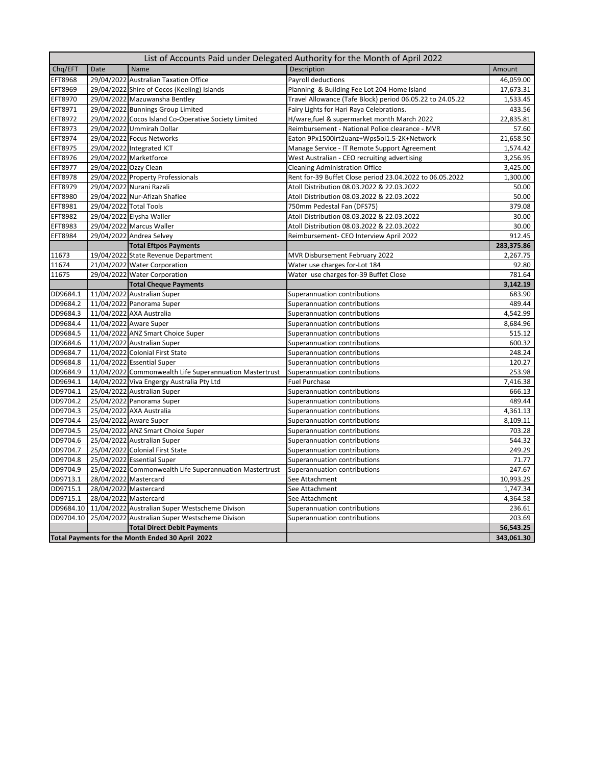| List of Accounts Paid under Delegated Authority for the Month of April 2022 |                        |                                                         |                                                           |            |  |  |
|-----------------------------------------------------------------------------|------------------------|---------------------------------------------------------|-----------------------------------------------------------|------------|--|--|
| Chq/EFT                                                                     | Date                   | Name                                                    | Description                                               | Amount     |  |  |
| <b>EFT8968</b>                                                              |                        | 29/04/2022 Australian Taxation Office                   | Payroll deductions                                        | 46,059.00  |  |  |
| <b>EFT8969</b>                                                              |                        | 29/04/2022 Shire of Cocos (Keeling) Islands             | Planning & Building Fee Lot 204 Home Island               | 17,673.31  |  |  |
| <b>EFT8970</b>                                                              |                        | 29/04/2022 Mazuwansha Bentley                           | Travel Allowance (Tafe Block) period 06.05.22 to 24.05.22 | 1,533.45   |  |  |
| EFT8971                                                                     |                        | 29/04/2022 Bunnings Group Limited                       | Fairy Lights for Hari Raya Celebrations.                  | 433.56     |  |  |
| <b>EFT8972</b>                                                              |                        | 29/04/2022 Cocos Island Co-Operative Society Limited    | H/ware, fuel & supermarket month March 2022               | 22,835.81  |  |  |
| <b>EFT8973</b>                                                              |                        | 29/04/2022 Ummirah Dollar                               | Reimbursement - National Police clearance - MVR           | 57.60      |  |  |
| EFT8974                                                                     |                        | 29/04/2022 Focus Networks                               | Eaton 9Px1500irt2uanz+Wps5oI1.5-2K+Network                | 21,658.50  |  |  |
| <b>EFT8975</b>                                                              |                        | 29/04/2022 Integrated ICT                               | Manage Service - IT Remote Support Agreement              | 1,574.42   |  |  |
| <b>EFT8976</b>                                                              |                        | 29/04/2022 Marketforce                                  | West Australian - CEO recruiting advertising              | 3,256.95   |  |  |
| <b>EFT8977</b>                                                              | 29/04/2022 Ozzy Clean  |                                                         | <b>Cleaning Administration Office</b>                     | 3,425.00   |  |  |
| <b>EFT8978</b>                                                              |                        | 29/04/2022 Property Professionals                       | Rent for-39 Buffet Close period 23.04.2022 to 06.05.2022  | 1,300.00   |  |  |
| <b>EFT8979</b>                                                              |                        | 29/04/2022 Nurani Razali                                | Atoll Distribution 08.03.2022 & 22.03.2022                | 50.00      |  |  |
| <b>EFT8980</b>                                                              |                        | 29/04/2022 Nur-Afizah Shafiee                           | Atoll Distribution 08.03.2022 & 22.03.2022                | 50.00      |  |  |
| <b>EFT8981</b>                                                              | 29/04/2022 Total Tools |                                                         | 750mm Pedestal Fan (DFS75)                                | 379.08     |  |  |
| EFT8982                                                                     |                        | 29/04/2022 Elysha Waller                                | Atoll Distribution 08.03.2022 & 22.03.2022                | 30.00      |  |  |
| <b>EFT8983</b>                                                              |                        | 29/04/2022 Marcus Waller                                | Atoll Distribution 08.03.2022 & 22.03.2022                | 30.00      |  |  |
| <b>EFT8984</b>                                                              |                        | 29/04/2022 Andrea Selvey                                | Reimbursement- CEO Interview April 2022                   | 912.45     |  |  |
|                                                                             |                        | <b>Total Eftpos Payments</b>                            |                                                           | 283,375.86 |  |  |
| 11673                                                                       |                        | 19/04/2022 State Revenue Department                     | MVR Disbursement February 2022                            | 2,267.75   |  |  |
| 11674                                                                       |                        | 21/04/2022 Water Corporation                            | Water use charges for-Lot 184                             | 92.80      |  |  |
| 11675                                                                       |                        | 29/04/2022 Water Corporation                            | Water use charges for-39 Buffet Close                     | 781.64     |  |  |
|                                                                             |                        | <b>Total Cheque Payments</b>                            |                                                           | 3,142.19   |  |  |
| DD9684.1                                                                    |                        | 11/04/2022 Australian Super                             | Superannuation contributions                              | 683.90     |  |  |
| DD9684.2                                                                    |                        | 11/04/2022 Panorama Super                               | Superannuation contributions                              | 489.44     |  |  |
| DD9684.3                                                                    |                        | 11/04/2022 AXA Australia                                | Superannuation contributions                              | 4,542.99   |  |  |
| DD9684.4                                                                    |                        | 11/04/2022 Aware Super                                  | Superannuation contributions                              | 8,684.96   |  |  |
| DD9684.5                                                                    |                        | 11/04/2022 ANZ Smart Choice Super                       | Superannuation contributions                              | 515.12     |  |  |
| DD9684.6                                                                    |                        | 11/04/2022 Australian Super                             | Superannuation contributions                              | 600.32     |  |  |
| DD9684.7                                                                    |                        | 11/04/2022 Colonial First State                         | Superannuation contributions                              | 248.24     |  |  |
| DD9684.8                                                                    |                        | 11/04/2022 Essential Super                              | Superannuation contributions                              | 120.27     |  |  |
| DD9684.9                                                                    |                        | 11/04/2022 Commonwealth Life Superannuation Mastertrust | Superannuation contributions                              | 253.98     |  |  |
| DD9694.1                                                                    |                        | 14/04/2022 Viva Engergy Australia Pty Ltd               | <b>Fuel Purchase</b>                                      | 7,416.38   |  |  |
| DD9704.1                                                                    |                        | 25/04/2022 Australian Super                             | Superannuation contributions                              | 666.13     |  |  |
| DD9704.2                                                                    |                        | 25/04/2022 Panorama Super                               | Superannuation contributions                              | 489.44     |  |  |
| DD9704.3                                                                    |                        | 25/04/2022 AXA Australia                                | Superannuation contributions                              | 4,361.13   |  |  |
| DD9704.4                                                                    |                        | 25/04/2022 Aware Super                                  | Superannuation contributions                              | 8,109.11   |  |  |
| DD9704.5                                                                    |                        | 25/04/2022 ANZ Smart Choice Super                       | Superannuation contributions                              | 703.28     |  |  |
| DD9704.6                                                                    |                        | 25/04/2022 Australian Super                             | Superannuation contributions                              | 544.32     |  |  |
| DD9704.7                                                                    |                        | 25/04/2022 Colonial First State                         | Superannuation contributions                              | 249.29     |  |  |
| DD9704.8                                                                    |                        | 25/04/2022 Essential Super                              | Superannuation contributions                              | 71.77      |  |  |
| DD9704.9                                                                    |                        | 25/04/2022 Commonwealth Life Superannuation Mastertrust | Superannuation contributions                              | 247.67     |  |  |
| DD9713.1                                                                    |                        | 28/04/2022 Mastercard                                   | See Attachment                                            | 10,993.29  |  |  |
| DD9715.1                                                                    | 28/04/2022 Mastercard  |                                                         | See Attachment                                            | 1,747.34   |  |  |
| DD9715.1                                                                    | 28/04/2022 Mastercard  |                                                         | See Attachment                                            | 4,364.58   |  |  |
| DD9684.10                                                                   |                        | 11/04/2022 Australian Super Westscheme Divison          | Superannuation contributions                              | 236.61     |  |  |
| DD9704.10                                                                   |                        | 25/04/2022 Australian Super Westscheme Divison          | Superannuation contributions                              | 203.69     |  |  |
|                                                                             |                        | <b>Total Direct Debit Payments</b>                      |                                                           | 56,543.25  |  |  |
|                                                                             |                        | Total Payments for the Month Ended 30 April 2022        |                                                           | 343,061.30 |  |  |